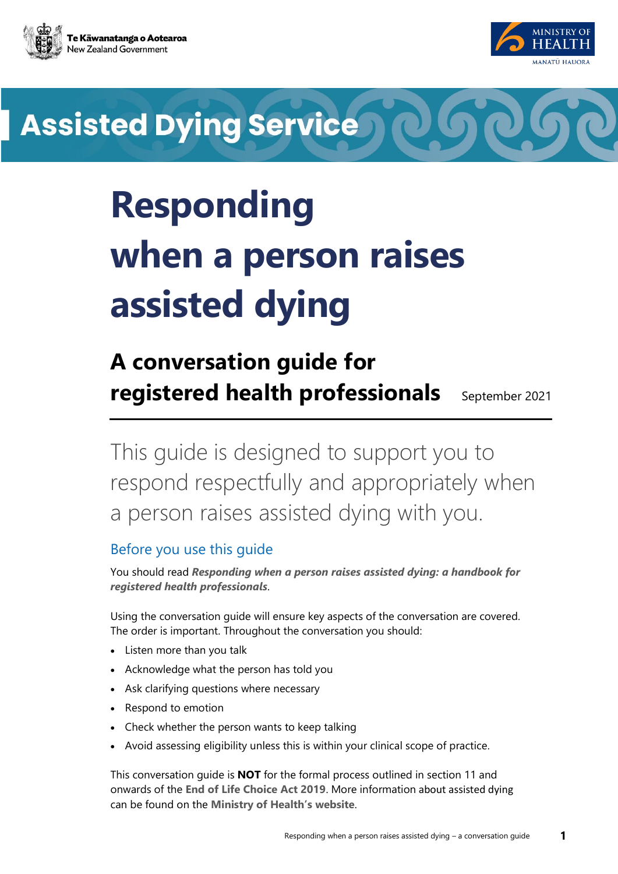



## **Assisted Dying Service**

## **Responding when a person raises assisted dying**

## **A conversation guide for registered health professionals** September 2021

This guide is designed to support you to respond respectfully and appropriately when a person raises assisted dying with you.

## Before you use this guide

You should read *[Responding when a person raises assisted dying: a handbook for](https://www.health.govt.nz/our-work/regulation-health-and-disability-system/end-life-choice-act-implementation/end-life-choice-act-implementation-resources)  [registered health professionals](https://www.health.govt.nz/our-work/regulation-health-and-disability-system/end-life-choice-act-implementation/end-life-choice-act-implementation-resources)*.

Using the conversation guide will ensure key aspects of the conversation are covered. The order is important. Throughout the conversation you should:

- Listen more than you talk
- Acknowledge what the person has told you
- Ask clarifying questions where necessary
- Respond to emotion
- Check whether the person wants to keep talking
- Avoid assessing eligibility unless this is within your clinical scope of practice.

This conversation guide is **NOT** for the formal process outlined in section 11 and onwards of the **[End of Life Choice Act 2019](https://www.legislation.govt.nz/act/public/2019/0067/latest/DLM7285905.html)**. More information about assisted dying can be found on the **[Ministry of Health's website](https://www.health.govt.nz/our-work/regulation-health-and-disability-system/end-life-choice-act-implementation/end-life-choice-act-implementation-resources)**.